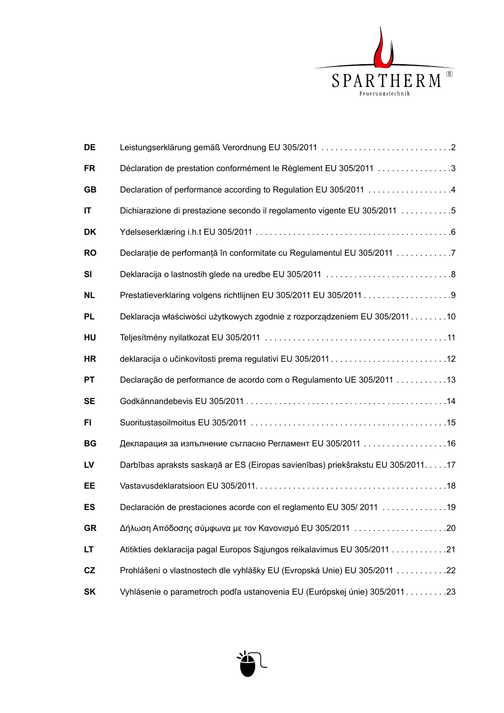

| DE        |                                                                                   |
|-----------|-----------------------------------------------------------------------------------|
| <b>FR</b> | Déclaration de prestation conformément le Règlement EU 305/2011 3                 |
| <b>GB</b> | Declaration of performance according to Regulation EU 305/2011 4                  |
| IT        | Dichiarazione di prestazione secondo il regolamento vigente EU 305/2011 5         |
| <b>DK</b> |                                                                                   |
| <b>RO</b> | Declarație de performanță în conformitate cu Regulamentul EU 305/2011 7           |
| <b>SI</b> | Deklaracija o lastnostih glede na uredbe EU 305/2011 8                            |
| <b>NL</b> |                                                                                   |
| <b>PL</b> | Deklaracja właściwości użytkowych zgodnie z rozporządzeniem EU 305/201110         |
| HU        |                                                                                   |
| HR        |                                                                                   |
| <b>PT</b> | Declaração de performance de acordo com o Regulamento UE 305/2011 13              |
| <b>SE</b> |                                                                                   |
| <b>FI</b> |                                                                                   |
| <b>BG</b> | Декларация за изпълнение съгласно Регламент EU 305/2011 16                        |
| LV        | Darbības apraksts saskaņā ar ES (Eiropas savienības) priekšrakstu EU 305/2011. 17 |
| EE        |                                                                                   |
| <b>ES</b> | Declaración de prestaciones acorde con el reglamento EU 305/2011  19              |
| <b>GR</b> |                                                                                   |
| LT.       | Atitikties deklaracija pagal Europos Sąjungos reikalavimus EU 305/2011 21         |
| CZ        | Prohlášení o vlastnostech dle vyhlášky EU (Evropská Unie) EU 305/2011 22          |
| <b>SK</b> | Vyhlásenie o parametroch podľa ustanovenia EU (Európskej únie) 305/2011 23        |

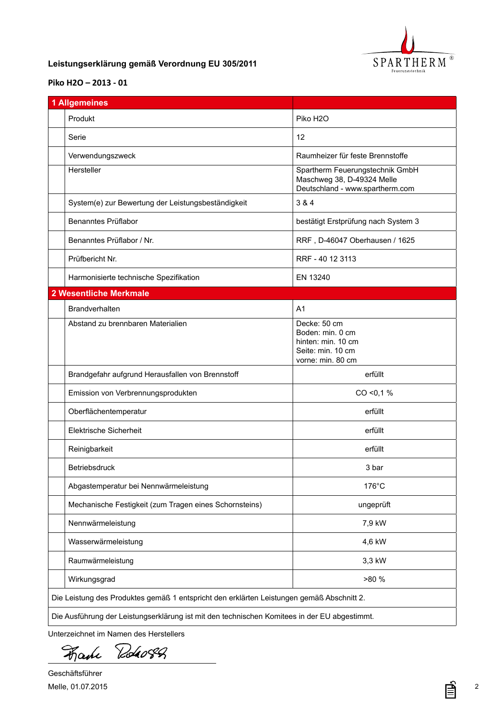

## <span id="page-1-0"></span>**DE Leistungserklärung gemäß Verordnung EU 305/2011**

## **[Piko H2O](DBF_Typ) – 2013 - 01**

| <b>1 Allgemeines</b>                                   |                                                                                                  |
|--------------------------------------------------------|--------------------------------------------------------------------------------------------------|
| Produkt                                                | Piko H <sub>2</sub> O                                                                            |
| Serie                                                  | 12                                                                                               |
| Verwendungszweck                                       | Raumheizer für feste Brennstoffe                                                                 |
| Hersteller                                             | Spartherm Feuerungstechnik GmbH<br>Maschweg 38, D-49324 Melle<br>Deutschland - www.spartherm.com |
| System(e) zur Bewertung der Leistungsbeständigkeit     | 3 & 4                                                                                            |
| Benanntes Prüflabor                                    | bestätigt Erstprüfung nach System 3                                                              |
| Benanntes Prüflabor / Nr.                              | RRF, D-46047 Oberhausen / 1625                                                                   |
| Prüfbericht Nr.                                        | RRF - 40 12 3113                                                                                 |
| Harmonisierte technische Spezifikation                 | EN 13240                                                                                         |
| <b>2 Wesentliche Merkmale</b>                          |                                                                                                  |
| <b>Brandverhalten</b>                                  | A <sub>1</sub>                                                                                   |
| Abstand zu brennbaren Materialien                      | Decke: 50 cm<br>Boden: min. 0 cm<br>hinten: min. 10 cm<br>Seite: min. 10 cm<br>vorne: min. 80 cm |
| Brandgefahr aufgrund Herausfallen von Brennstoff       | erfüllt                                                                                          |
| Emission von Verbrennungsprodukten                     | $CO < 0.1$ %                                                                                     |
| Oberflächentemperatur                                  | erfüllt                                                                                          |
| <b>Elektrische Sicherheit</b>                          | erfüllt                                                                                          |
| Reinigbarkeit                                          | erfüllt                                                                                          |
| Betriebsdruck                                          | 3 bar                                                                                            |
| Abgastemperatur bei Nennwärmeleistung                  | 176°C                                                                                            |
| Mechanische Festigkeit (zum Tragen eines Schornsteins) | ungeprüft                                                                                        |
| Nennwärmeleistung                                      | 7,9 kW                                                                                           |
|                                                        | 4,6 kW                                                                                           |
| Wasserwärmeleistung                                    |                                                                                                  |
| Raumwärmeleistung                                      | 3,3 kW                                                                                           |

Unterzeichnet im Namen des Herstellers

Roho8Q Fake

Geschäftsführer Melle, 01.07.2015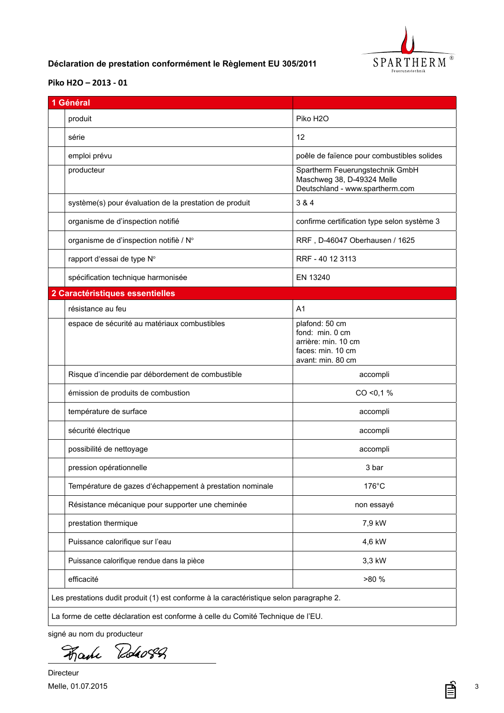

# <span id="page-2-0"></span>**FR Déclaration de prestation conformément le Règlement EU 305/2011**

#### **[Piko H2O](DBF_Typ) – 2013 - 01**

| 1 Général                                                                               |                                                                                                    |  |
|-----------------------------------------------------------------------------------------|----------------------------------------------------------------------------------------------------|--|
| produit                                                                                 | Piko H <sub>2</sub> O                                                                              |  |
| série                                                                                   | 12                                                                                                 |  |
| emploi prévu                                                                            | poêle de faïence pour combustibles solides                                                         |  |
| producteur                                                                              | Spartherm Feuerungstechnik GmbH<br>Maschweg 38, D-49324 Melle<br>Deutschland - www.spartherm.com   |  |
| système(s) pour évaluation de la prestation de produit                                  | 3 & 4                                                                                              |  |
| organisme de d'inspection notifié                                                       | confirme certification type selon système 3                                                        |  |
| organisme de d'inspection notifiè / N°                                                  | RRF, D-46047 Oberhausen / 1625                                                                     |  |
| rapport d'essai de type N°                                                              | RRF - 40 12 3113                                                                                   |  |
| spécification technique harmonisée                                                      | EN 13240                                                                                           |  |
| 2 Caractéristiques essentielles                                                         |                                                                                                    |  |
| résistance au feu                                                                       | A <sub>1</sub>                                                                                     |  |
| espace de sécurité au matériaux combustibles                                            | plafond: 50 cm<br>fond: min. 0 cm<br>arrière: min. 10 cm<br>faces: min. 10 cm<br>avant: min. 80 cm |  |
| Risque d'incendie par débordement de combustible                                        | accompli                                                                                           |  |
| émission de produits de combustion                                                      | CO < 0.1 %                                                                                         |  |
| température de surface                                                                  | accompli                                                                                           |  |
| sécurité électrique                                                                     | accompli                                                                                           |  |
| possibilité de nettoyage                                                                | accompli                                                                                           |  |
| pression opérationnelle                                                                 | 3 bar                                                                                              |  |
| Température de gazes d'échappement à prestation nominale                                | $176^{\circ}$ C                                                                                    |  |
| Résistance mécanique pour supporter une cheminée                                        | non essayé                                                                                         |  |
| prestation thermique                                                                    | 7,9 kW                                                                                             |  |
| Puissance calorifique sur l'eau                                                         | 4,6 kW                                                                                             |  |
| Puissance calorifique rendue dans la pièce                                              | 3,3 kW                                                                                             |  |
| efficacité                                                                              | >80 %                                                                                              |  |
| Les prestations dudit produit (1) est conforme à la caractéristique selon paragraphe 2. |                                                                                                    |  |
| La forme de cette déclaration est conforme à celle du Comité Technique de l'EU.         |                                                                                                    |  |

signé au nom du producteur

Roho82 Fane

Directeur Melle, 01.07.2015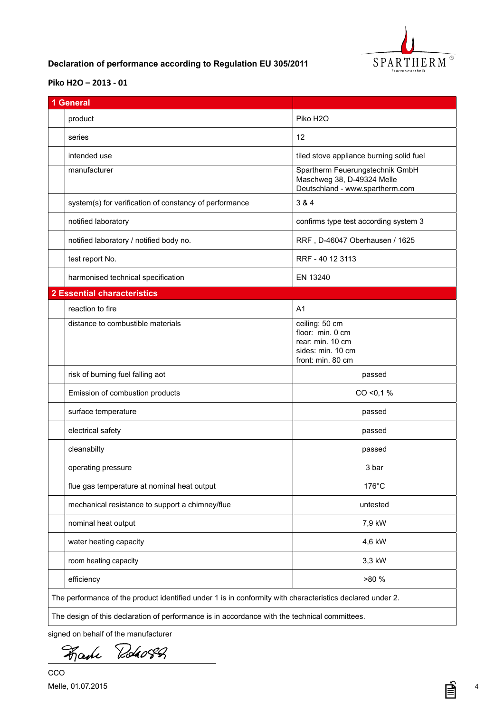

# <span id="page-3-0"></span>**GB Declaration of performance according to Regulation EU 305/2011**

## **[Piko H2O](DBF_Typ) – 2013 - 01**

| 1 General                                                                                                 |                                                                                                  |  |
|-----------------------------------------------------------------------------------------------------------|--------------------------------------------------------------------------------------------------|--|
| product                                                                                                   | Piko H <sub>2</sub> O                                                                            |  |
| series                                                                                                    | 12                                                                                               |  |
| intended use                                                                                              | tiled stove appliance burning solid fuel                                                         |  |
| manufacturer                                                                                              | Spartherm Feuerungstechnik GmbH<br>Maschweg 38, D-49324 Melle<br>Deutschland - www.spartherm.com |  |
| system(s) for verification of constancy of performance                                                    | 3 & 4                                                                                            |  |
| notified laboratory                                                                                       | confirms type test according system 3                                                            |  |
| notified laboratory / notified body no.                                                                   | RRF, D-46047 Oberhausen / 1625                                                                   |  |
| test report No.                                                                                           | RRF - 40 12 3113                                                                                 |  |
| harmonised technical specification                                                                        | EN 13240                                                                                         |  |
| <b>2 Essential characteristics</b>                                                                        |                                                                                                  |  |
| reaction to fire                                                                                          | A <sub>1</sub>                                                                                   |  |
| distance to combustible materials                                                                         | ceiling: 50 cm<br>floor: min. 0 cm<br>rear: min. 10 cm<br>sides: min. 10 cm<br>front: min. 80 cm |  |
| risk of burning fuel falling aot                                                                          | passed                                                                                           |  |
| Emission of combustion products                                                                           | CO < 0.1 %                                                                                       |  |
| surface temperature                                                                                       | passed                                                                                           |  |
| electrical safety                                                                                         | passed                                                                                           |  |
| cleanabilty                                                                                               | passed                                                                                           |  |
| operating pressure                                                                                        | 3 bar                                                                                            |  |
| flue gas temperature at nominal heat output                                                               | 176°C                                                                                            |  |
| mechanical resistance to support a chimney/flue                                                           | untested                                                                                         |  |
| nominal heat output                                                                                       | 7,9 kW                                                                                           |  |
| water heating capacity                                                                                    | 4,6 kW                                                                                           |  |
| room heating capacity                                                                                     | 3,3 kW                                                                                           |  |
| efficiency                                                                                                | >80 %                                                                                            |  |
| The performance of the product identified under 1 is in conformity with characteristics declared under 2. |                                                                                                  |  |
| The design of this declaration of performance is in accordance with the technical committees.             |                                                                                                  |  |

signed on behalf of the manufacturer

Roho8A Fake

ª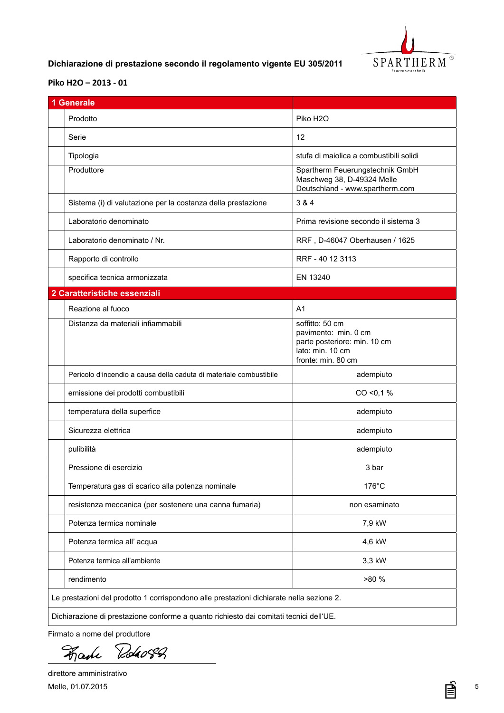

# <span id="page-4-0"></span>**IT Dichiarazione di prestazione secondo il regolamento vigente EU 305/2011**

### **[Piko H2O](DBF_Typ) – 2013 - 01**

| 1 Generale                                                                               |                                                                                                                   |  |
|------------------------------------------------------------------------------------------|-------------------------------------------------------------------------------------------------------------------|--|
| Prodotto                                                                                 | Piko H <sub>2</sub> O                                                                                             |  |
| Serie                                                                                    | 12                                                                                                                |  |
| Tipologia                                                                                | stufa di maiolica a combustibili solidi                                                                           |  |
| Produttore                                                                               | Spartherm Feuerungstechnik GmbH<br>Maschweg 38, D-49324 Melle<br>Deutschland - www.spartherm.com                  |  |
| Sistema (i) di valutazione per la costanza della prestazione                             | 3 & 4                                                                                                             |  |
| Laboratorio denominato                                                                   | Prima revisione secondo il sistema 3                                                                              |  |
| Laboratorio denominato / Nr.                                                             | RRF, D-46047 Oberhausen / 1625                                                                                    |  |
| Rapporto di controllo                                                                    | RRF - 40 12 3113                                                                                                  |  |
| specifica tecnica armonizzata                                                            | EN 13240                                                                                                          |  |
| 2 Caratteristiche essenziali                                                             |                                                                                                                   |  |
| Reazione al fuoco                                                                        | A <sub>1</sub>                                                                                                    |  |
| Distanza da materiali infiammabili                                                       | soffitto: 50 cm<br>pavimento: min. 0 cm<br>parte posteriore: min. 10 cm<br>lato: min. 10 cm<br>fronte: min. 80 cm |  |
| Pericolo d'incendio a causa della caduta di materiale combustibile                       | adempiuto                                                                                                         |  |
| emissione dei prodotti combustibili                                                      | $CO < 0.1$ %                                                                                                      |  |
| temperatura della superfice                                                              | adempiuto                                                                                                         |  |
| Sicurezza elettrica                                                                      | adempiuto                                                                                                         |  |
| pulibilità                                                                               | adempiuto                                                                                                         |  |
| Pressione di esercizio                                                                   | 3 bar                                                                                                             |  |
| Temperatura gas di scarico alla potenza nominale                                         | $176^{\circ}$ C                                                                                                   |  |
| resistenza meccanica (per sostenere una canna fumaria)                                   | non esaminato                                                                                                     |  |
| Potenza termica nominale                                                                 | 7,9 kW                                                                                                            |  |
| Potenza termica all' acqua                                                               | 4,6 kW                                                                                                            |  |
| Potenza termica all'ambiente                                                             | 3,3 kW                                                                                                            |  |
| rendimento                                                                               | >80 %                                                                                                             |  |
| Le prestazioni del prodotto 1 corrispondono alle prestazioni dichiarate nella sezione 2. |                                                                                                                   |  |
| Dichiarazione di prestazione conforme a quanto richiesto dai comitati tecnici dell'UE.   |                                                                                                                   |  |

Firmato a nome del produttore

Roho8A Fake

direttore amministrativo Melle, 01.07.2015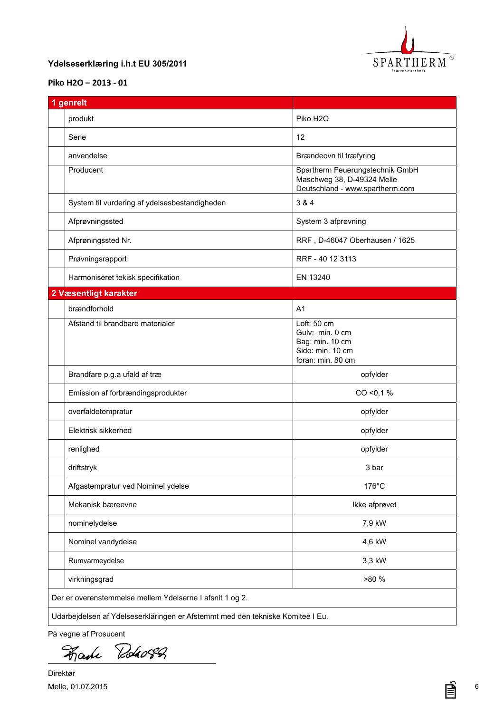

## <span id="page-5-0"></span>**DK Ydelseserklæring i.h.t EU 305/2011**

## **[Piko H2O](DBF_Typ) – 2013 - 01**

| 1 genrelt                                                                      |                                                                                                  |  |
|--------------------------------------------------------------------------------|--------------------------------------------------------------------------------------------------|--|
| produkt                                                                        | Piko H <sub>2</sub> O                                                                            |  |
| Serie                                                                          | 12                                                                                               |  |
| anvendelse                                                                     | Brændeovn til træfyring                                                                          |  |
| Producent                                                                      | Spartherm Feuerungstechnik GmbH<br>Maschweg 38, D-49324 Melle<br>Deutschland - www.spartherm.com |  |
| System til vurdering af ydelsesbestandigheden                                  | 3 & 4                                                                                            |  |
| Afprøvningssted                                                                | System 3 afprøvning                                                                              |  |
| Afprøningssted Nr.                                                             | RRF, D-46047 Oberhausen / 1625                                                                   |  |
| Prøvningsrapport                                                               | RRF - 40 12 3113                                                                                 |  |
| Harmoniseret tekisk specifikation                                              | EN 13240                                                                                         |  |
| 2 Væsentligt karakter                                                          |                                                                                                  |  |
| brændforhold                                                                   | A <sub>1</sub>                                                                                   |  |
| Afstand til brandbare materialer                                               | Loft: 50 cm<br>Gulv: min. 0 cm<br>Bag: min. 10 cm<br>Side: min. 10 cm<br>foran: min. 80 cm       |  |
| Brandfare p.g.a ufald af træ                                                   | opfylder                                                                                         |  |
| Emission af forbrændingsprodukter                                              | $CO < 0.1$ %                                                                                     |  |
| overfaldetempratur                                                             | opfylder                                                                                         |  |
| Elektrisk sikkerhed                                                            | opfylder                                                                                         |  |
| renlighed                                                                      | opfylder                                                                                         |  |
| driftstryk                                                                     | 3 bar                                                                                            |  |
| Afgastempratur ved Nominel ydelse                                              | $176^{\circ}$ C                                                                                  |  |
| Mekanisk bæreevne                                                              | Ikke afprøvet                                                                                    |  |
| nominelydelse                                                                  | 7,9 kW                                                                                           |  |
| Nominel vandydelse                                                             | 4,6 kW                                                                                           |  |
| Rumvarmeydelse                                                                 | 3,3 kW                                                                                           |  |
| virkningsgrad                                                                  | >80 %                                                                                            |  |
| Der er overenstemmelse mellem Ydelserne I afsnit 1 og 2.                       |                                                                                                  |  |
| Udarbejdelsen af Ydelseserkläringen er Afstemmt med den tekniske Komitee I Eu. |                                                                                                  |  |

På vegne af Prosucent

Fache Robert

Direktør Melle, 01.07.2015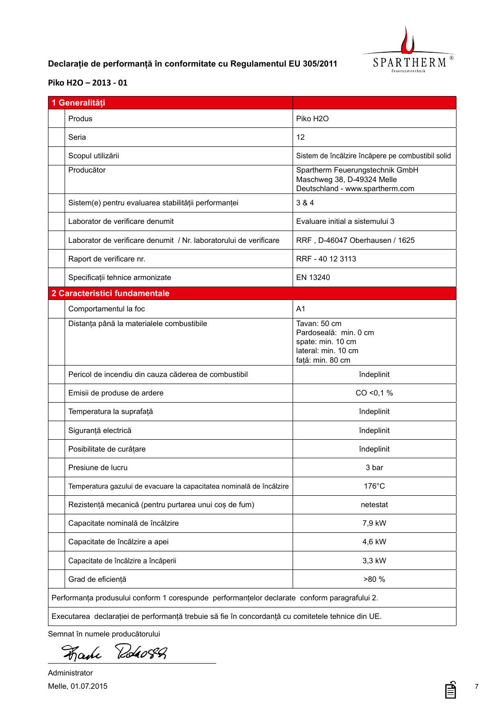

# <span id="page-6-0"></span>**RO Declarație de performanță în conformitate cu Regulamentul EU 305/2011**

### **[Piko H2O](DBF_Typ) – 2013 - 01**

| 1 Generalități                                                                                    |                                                                                                       |
|---------------------------------------------------------------------------------------------------|-------------------------------------------------------------------------------------------------------|
| Produs                                                                                            | Piko H <sub>2</sub> O                                                                                 |
| Seria                                                                                             | 12                                                                                                    |
| Scopul utilizării                                                                                 | Sistem de încălzire încăpere pe combustibil solid                                                     |
| Producător                                                                                        | Spartherm Feuerungstechnik GmbH<br>Maschweg 38, D-49324 Melle<br>Deutschland - www.spartherm.com      |
| Sistem(e) pentru evaluarea stabilității performanței                                              | 3 & 4                                                                                                 |
| Laborator de verificare denumit                                                                   | Evaluare initial a sistemului 3                                                                       |
| Laborator de verificare denumit / Nr. laboratorului de verificare                                 | RRF, D-46047 Oberhausen / 1625                                                                        |
| Raport de verificare nr.                                                                          | RRF - 40 12 3113                                                                                      |
| Specificații tehnice armonizate                                                                   | EN 13240                                                                                              |
| 2 Caracteristici fundamentale                                                                     |                                                                                                       |
| Comportamentul la foc                                                                             | A <sub>1</sub>                                                                                        |
| Distanța până la materialele combustibile                                                         | Tavan: 50 cm<br>Pardoseală: min. 0 cm<br>spate: min. 10 cm<br>lateral: min. 10 cm<br>față: min. 80 cm |
| Pericol de incendiu din cauza căderea de combustibil                                              | îndeplinit                                                                                            |
| Emisii de produse de ardere                                                                       | CO < 0.1 %                                                                                            |
| Temperatura la suprafață                                                                          | îndeplinit                                                                                            |
| Siguranță electrică                                                                               | îndeplinit                                                                                            |
| Posibilitate de curățare                                                                          | îndeplinit                                                                                            |
| Presiune de lucru                                                                                 | 3 bar                                                                                                 |
| Temperatura gazului de evacuare la capacitatea nominală de încălzire                              | $176^{\circ}$ C                                                                                       |
| Rezistență mecanică (pentru purtarea unui coș de fum)                                             | netestat                                                                                              |
| Capacitate nominală de încălzire                                                                  | 7,9 kW                                                                                                |
| Capacitate de încălzire a apei                                                                    | 4,6 kW                                                                                                |
| Capacitate de încălzire a încăperii                                                               | 3,3 kW                                                                                                |
| Grad de eficiență                                                                                 | >80 %                                                                                                 |
| Performanța produsului conform 1 corespunde performanțelor declarate conform paragrafului 2.      |                                                                                                       |
| Executarea declarației de performanță trebuie să fie în concordanță cu comitetele tehnice din UE. |                                                                                                       |

Semnat în numele producătorului

Roho8A Fake

Administrator Melle, 01.07.2015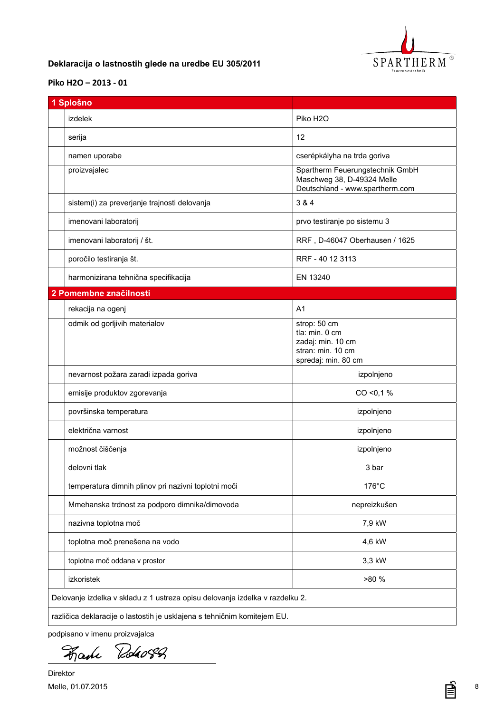

## <span id="page-7-0"></span>**SI Deklaracija o lastnostih glede na uredbe EU 305/2011**

## **[Piko H2O](DBF_Typ) – 2013 - 01**

| 1 Splošno                                                                    |                                                                                                  |  |
|------------------------------------------------------------------------------|--------------------------------------------------------------------------------------------------|--|
| <b>izdelek</b>                                                               | Piko H <sub>2</sub> O                                                                            |  |
| serija                                                                       | 12                                                                                               |  |
| namen uporabe                                                                | cserépkályha na trda goriva                                                                      |  |
| proizvajalec                                                                 | Spartherm Feuerungstechnik GmbH<br>Maschweg 38, D-49324 Melle<br>Deutschland - www.spartherm.com |  |
| sistem(i) za preverjanje trajnosti delovanja                                 | 3 & 4                                                                                            |  |
| imenovani laboratorij                                                        | prvo testiranje po sistemu 3                                                                     |  |
| imenovani laboratorij / št.                                                  | RRF, D-46047 Oberhausen / 1625                                                                   |  |
| poročilo testiranja št.                                                      | RRF - 40 12 3113                                                                                 |  |
| harmonizirana tehnična specifikacija                                         | EN 13240                                                                                         |  |
| 2 Pomembne značilnosti                                                       |                                                                                                  |  |
| rekacija na ogenj                                                            | A <sub>1</sub>                                                                                   |  |
| odmik od gorljivih materialov                                                | strop: 50 cm<br>tla: min. 0 cm<br>zadaj: min. 10 cm<br>stran: min. 10 cm<br>spredaj: min. 80 cm  |  |
| nevarnost požara zaradi izpada goriva                                        | izpolnjeno                                                                                       |  |
| emisije produktov zgorevanja                                                 | $CO < 0.1$ %                                                                                     |  |
| površinska temperatura                                                       | izpolnjeno                                                                                       |  |
| električna varnost                                                           | izpolnjeno                                                                                       |  |
| možnost čiščenja                                                             | izpolnjeno                                                                                       |  |
| delovni tlak                                                                 | 3 bar                                                                                            |  |
| temperatura dimnih plinov pri nazivni toplotni moči                          | 176°C                                                                                            |  |
| Mmehanska trdnost za podporo dimnika/dimovoda                                | nepreizkušen                                                                                     |  |
| nazivna toplotna moč                                                         | 7,9 kW                                                                                           |  |
| toplotna moč prenešena na vodo                                               | 4,6 kW                                                                                           |  |
| toplotna moč oddana v prostor                                                | 3,3 kW                                                                                           |  |
| izkoristek                                                                   | >80 %                                                                                            |  |
| Delovanje izdelka v skladu z 1 ustreza opisu delovanja izdelka v razdelku 2. |                                                                                                  |  |
| različica deklaracije o lastostih je usklajena s tehničnim komitejem EU.     |                                                                                                  |  |

podpisano v imenu proizvajalca

Rodao82 Fake

Direktor Melle, 01.07.2015

≣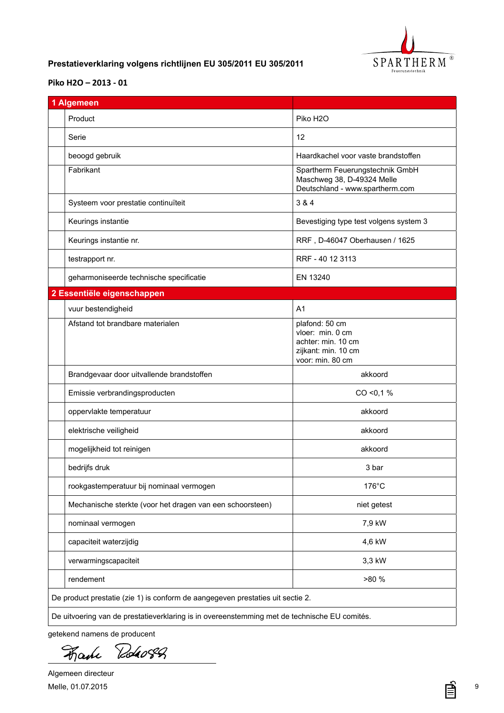

## <span id="page-8-0"></span>**NL Prestatieverklaring volgens richtlijnen EU 305/2011 EU 305/2011**

#### **[Piko H2O](DBF_Typ) – 2013 - 01**

| 1 Algemeen                                                                     |                                                                                                     |
|--------------------------------------------------------------------------------|-----------------------------------------------------------------------------------------------------|
| Product                                                                        | Piko H <sub>2</sub> O                                                                               |
| Serie                                                                          | 12                                                                                                  |
| beoogd gebruik                                                                 | Haardkachel voor vaste brandstoffen                                                                 |
| Fabrikant                                                                      | Spartherm Feuerungstechnik GmbH<br>Maschweg 38, D-49324 Melle<br>Deutschland - www.spartherm.com    |
| Systeem voor prestatie continuïteit                                            | 3 & 4                                                                                               |
| Keurings instantie                                                             | Bevestiging type test volgens system 3                                                              |
| Keurings instantie nr.                                                         | RRF, D-46047 Oberhausen / 1625                                                                      |
| testrapport nr.                                                                | RRF - 40 12 3113                                                                                    |
| geharmoniseerde technische specificatie                                        | EN 13240                                                                                            |
| 2 Essentiële eigenschappen                                                     |                                                                                                     |
| vuur bestendigheid                                                             | A <sub>1</sub>                                                                                      |
| Afstand tot brandbare materialen                                               | plafond: 50 cm<br>vloer: min. 0 cm<br>achter: min. 10 cm<br>zijkant: min. 10 cm<br>voor: min. 80 cm |
| Brandgevaar door uitvallende brandstoffen                                      | akkoord                                                                                             |
| Emissie verbrandingsproducten                                                  | $CO < 0.1$ %                                                                                        |
| oppervlakte temperatuur                                                        | akkoord                                                                                             |
| elektrische veiligheid                                                         | akkoord                                                                                             |
| mogelijkheid tot reinigen                                                      | akkoord                                                                                             |
| bedrijfs druk                                                                  | 3 bar                                                                                               |
| rookgastemperatuur bij nominaal vermogen                                       | 176°C                                                                                               |
| Mechanische sterkte (voor het dragen van een schoorsteen)                      | niet getest                                                                                         |
| nominaal vermogen                                                              | 7,9 kW                                                                                              |
| capaciteit waterzijdig                                                         | 4,6 kW                                                                                              |
| verwarmingscapaciteit                                                          | 3,3 kW                                                                                              |
| rendement                                                                      | >80 %                                                                                               |
| De product prestatie (zie 1) is conform de aangegeven prestaties uit sectie 2. |                                                                                                     |

getekend namens de producent

Roho8Q Hame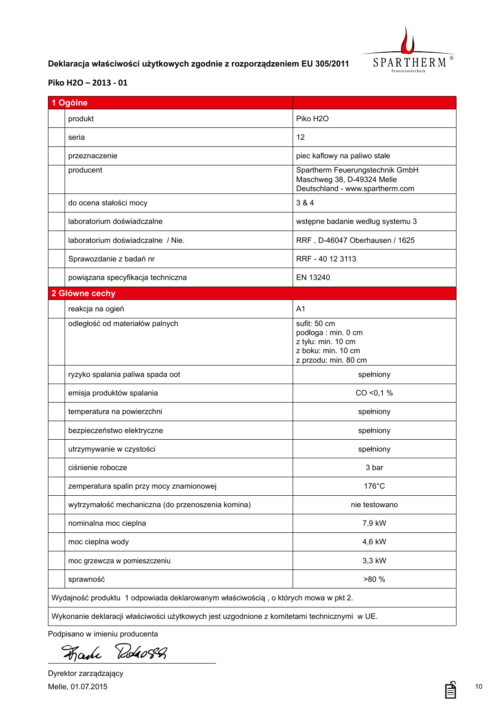

# <span id="page-9-0"></span>**PL Deklaracja właściwości użytkowych zgodnie z rozporządzeniem EU 305/2011**

## **[Piko H2O](DBF_Typ) – 2013 - 01**

| 1 Ogólne                                                                                    |                                                                                                         |  |
|---------------------------------------------------------------------------------------------|---------------------------------------------------------------------------------------------------------|--|
| produkt                                                                                     | Piko H <sub>2</sub> O                                                                                   |  |
| seria                                                                                       | 12                                                                                                      |  |
| przeznaczenie                                                                               | piec kaflowy na paliwo stałe                                                                            |  |
| producent                                                                                   | Spartherm Feuerungstechnik GmbH<br>Maschweg 38, D-49324 Melle<br>Deutschland - www.spartherm.com        |  |
| do ocena stałości mocy                                                                      | 3 & 4                                                                                                   |  |
| laboratorium doświadczalne                                                                  | wstępne badanie według systemu 3                                                                        |  |
| laboratorium doświadczalne / Nie.                                                           | RRF, D-46047 Oberhausen / 1625                                                                          |  |
| Sprawozdanie z badań nr                                                                     | RRF - 40 12 3113                                                                                        |  |
| powiązana specyfikacja techniczna                                                           | EN 13240                                                                                                |  |
| 2 Główne cechy                                                                              |                                                                                                         |  |
| reakcja na ogień                                                                            | A <sub>1</sub>                                                                                          |  |
| odległość od materiałów palnych                                                             | sufit: 50 cm<br>podłoga : min. 0 cm<br>z tyłu: min. 10 cm<br>z boku: min. 10 cm<br>z przodu: min. 80 cm |  |
| ryzyko spalania paliwa spada oot                                                            | spełniony                                                                                               |  |
| emisja produktów spalania                                                                   | CO < 0.1 %                                                                                              |  |
| temperatura na powierzchni                                                                  | spełniony                                                                                               |  |
| bezpieczeństwo elektryczne                                                                  | spełniony                                                                                               |  |
| utrzymywanie w czystości                                                                    | spełniony                                                                                               |  |
| ciśnienie robocze                                                                           | 3 bar                                                                                                   |  |
| zemperatura spalin przy mocy znamionowej                                                    | 176°C                                                                                                   |  |
| wytrzymałość mechaniczna (do przenoszenia komina)                                           | nie testowano                                                                                           |  |
| nominalna moc cieplna                                                                       | 7,9 kW                                                                                                  |  |
| moc cieplna wody                                                                            | 4,6 kW                                                                                                  |  |
| moc grzewcza w pomieszczeniu                                                                | 3,3 kW                                                                                                  |  |
| sprawność                                                                                   | >80 %                                                                                                   |  |
| Wydajność produktu 1 odpowiada deklarowanym właściwością, o których mowa w pkt 2.           |                                                                                                         |  |
| Wykonanie deklaracji właściwości użytkowych jest uzgodnione z komitetami technicznymi w UE. |                                                                                                         |  |

Podpisano w imieniu producenta

Roho8Q Hame

Dyrektor zarządzający Melle, 01.07.2015

≣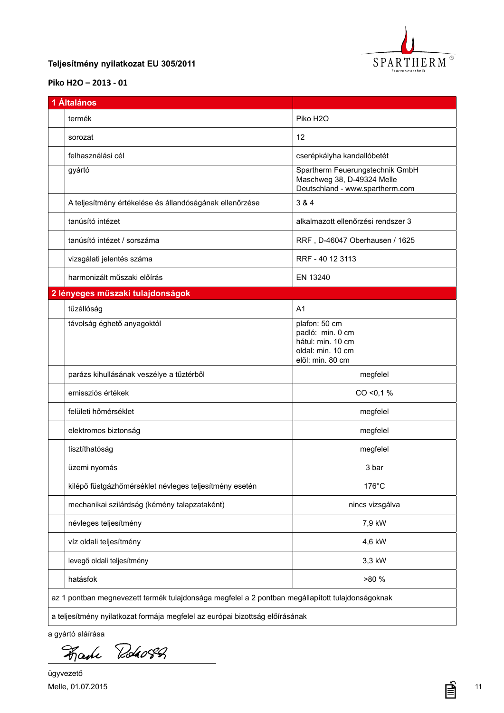

## <span id="page-10-0"></span>**HU Teljesítmény nyilatkozat EU 305/2011**

## **[Piko H2O](DBF_Typ) – 2013 - 01**

| 1 Általános                                             |                                                                                                  |  |  |
|---------------------------------------------------------|--------------------------------------------------------------------------------------------------|--|--|
| termék                                                  | Piko H <sub>2</sub> O                                                                            |  |  |
| sorozat                                                 | 12                                                                                               |  |  |
| felhasználási cél                                       | cserépkályha kandallóbetét                                                                       |  |  |
| gyártó                                                  | Spartherm Feuerungstechnik GmbH<br>Maschweg 38, D-49324 Melle<br>Deutschland - www.spartherm.com |  |  |
| A teljesítmény értékelése és állandóságának ellenőrzése | 3 & 4                                                                                            |  |  |
| tanúsító intézet                                        | alkalmazott ellenőrzési rendszer 3                                                               |  |  |
| tanúsító intézet / sorszáma                             | RRF, D-46047 Oberhausen / 1625                                                                   |  |  |
| vizsgálati jelentés száma                               | RRF - 40 12 3113                                                                                 |  |  |
| harmonizált műszaki előírás                             | EN 13240                                                                                         |  |  |
| 2 lényeges műszaki tulajdonságok                        |                                                                                                  |  |  |
| tűzállóság                                              | A <sub>1</sub>                                                                                   |  |  |
| távolság éghető anyagoktól                              | plafon: 50 cm<br>padló: min. 0 cm<br>hátul: min. 10 cm<br>oldal: min. 10 cm<br>elöl: min. 80 cm  |  |  |
| parázs kihullásának veszélye a tűztérből                | megfelel                                                                                         |  |  |
| emissziós értékek                                       | CO < 0.1 %                                                                                       |  |  |
| felületi hőmérséklet                                    | megfelel                                                                                         |  |  |
| elektromos biztonság                                    | megfelel                                                                                         |  |  |
| tisztíthatóság                                          | megfelel                                                                                         |  |  |
| üzemi nyomás                                            | 3 bar                                                                                            |  |  |
| kilépő füstgázhőmérséklet névleges teljesítmény esetén  | 176°C                                                                                            |  |  |
| mechanikai szilárdság (kémény talapzataként)            | nincs vizsgálva                                                                                  |  |  |
| névleges teljesítmény                                   | 7,9 kW                                                                                           |  |  |
| víz oldali teljesítmény                                 | 4,6 kW                                                                                           |  |  |
| levegő oldali teljesítmény                              | 3,3 kW                                                                                           |  |  |
| hatásfok                                                | >80 %                                                                                            |  |  |
|                                                         | az 1 pontban megnevezett termék tulajdonsága megfelel a 2 pontban megállapított tulajdonságoknak |  |  |

a gyártó aláírása<br>Hama Roho 88

ügyvezető Melle, 01.07.2015

亯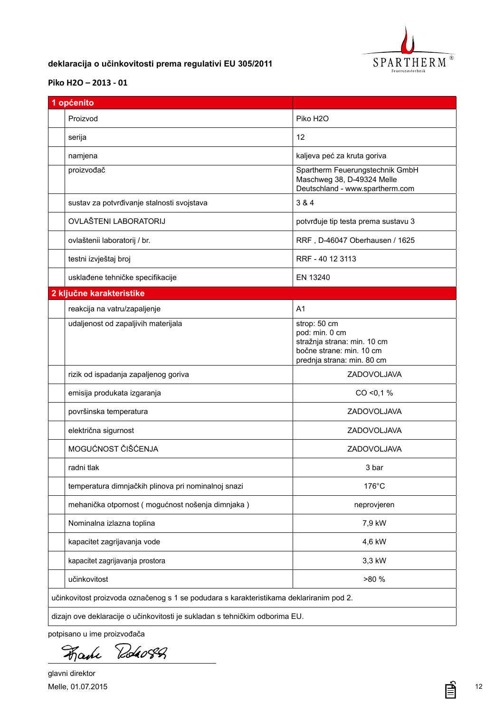

## <span id="page-11-0"></span>**HR deklaracija o učinkovitosti prema regulativi EU 305/2011**

## **[Piko H2O](DBF_Typ) – 2013 - 01**

| 1 općenito                                                                              |                                                                                                                         |  |  |
|-----------------------------------------------------------------------------------------|-------------------------------------------------------------------------------------------------------------------------|--|--|
| Proizvod                                                                                | Piko H <sub>2</sub> O                                                                                                   |  |  |
| serija                                                                                  | 12                                                                                                                      |  |  |
| namjena                                                                                 | kaljeva peć za kruta goriva                                                                                             |  |  |
| proizvođač                                                                              | Spartherm Feuerungstechnik GmbH<br>Maschweg 38, D-49324 Melle<br>Deutschland - www.spartherm.com                        |  |  |
| sustav za potvrđivanje stalnosti svojstava                                              | 3 & 4                                                                                                                   |  |  |
| OVLAŠTENI LABORATORIJ                                                                   | potvrđuje tip testa prema sustavu 3                                                                                     |  |  |
| ovlaštenii laboratorij / br.                                                            | RRF, D-46047 Oberhausen / 1625                                                                                          |  |  |
| testni izvještaj broj                                                                   | RRF - 40 12 3113                                                                                                        |  |  |
| usklađene tehničke specifikacije                                                        | EN 13240                                                                                                                |  |  |
| 2 ključne karakteristike                                                                |                                                                                                                         |  |  |
| reakcija na vatru/zapaljenje                                                            | A <sub>1</sub>                                                                                                          |  |  |
| udaljenost od zapaljivih materijala                                                     | strop: 50 cm<br>pod: min. 0 cm<br>stražnja strana: min. 10 cm<br>bočne strane: min. 10 cm<br>prednja strana: min. 80 cm |  |  |
| rizik od ispadanja zapaljenog goriva                                                    | ZADOVOLJAVA                                                                                                             |  |  |
| emisija produkata izgaranja                                                             | CO < 0.1 %                                                                                                              |  |  |
| površinska temperatura                                                                  | ZADOVOLJAVA                                                                                                             |  |  |
| električna sigurnost                                                                    | ZADOVOLJAVA                                                                                                             |  |  |
| MOGUĆNOST ČIŠĆENJA                                                                      | ZADOVOLJAVA                                                                                                             |  |  |
| radni tlak                                                                              | 3 bar                                                                                                                   |  |  |
| temperatura dimnjačkih plinova pri nominalnoj snazi                                     | 176°C                                                                                                                   |  |  |
| mehanička otpornost (mogućnost nošenja dimnjaka)                                        | neprovjeren                                                                                                             |  |  |
| Nominalna izlazna toplina                                                               | 7,9 kW                                                                                                                  |  |  |
| kapacitet zagrijavanja vode                                                             | 4,6 kW                                                                                                                  |  |  |
| kapacitet zagrijavanja prostora                                                         | 3,3 kW                                                                                                                  |  |  |
| učinkovitost                                                                            | >80 %                                                                                                                   |  |  |
| učinkovitost proizvoda označenog s 1 se podudara s karakteristikama deklariranim pod 2. |                                                                                                                         |  |  |
| dizajn ove deklaracije o učinkovitosti je sukladan s tehničkim odborima EU.             |                                                                                                                         |  |  |

potpisano u ime proizvođača

Roho82 Fake

glavni direktor Melle, 01.07.2015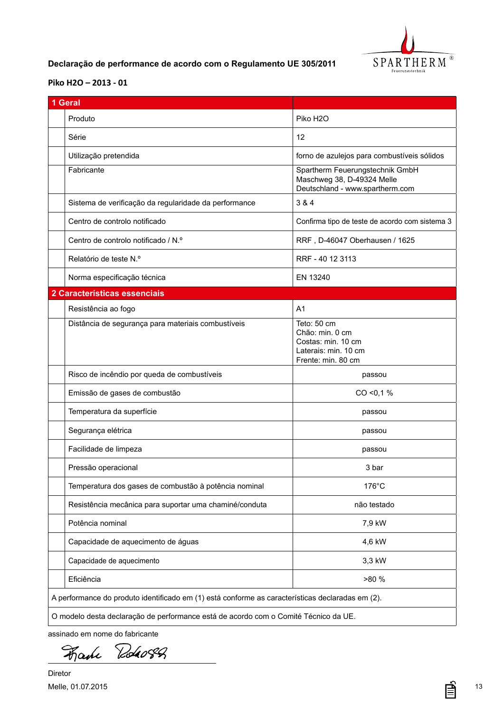

## <span id="page-12-0"></span>**PT Declaração de performance de acordo com o Regulamento UE 305/2011**

### **[Piko H2O](DBF_Typ) – 2013 - 01**

| 1 Geral                                                                                          |                                                                                                    |
|--------------------------------------------------------------------------------------------------|----------------------------------------------------------------------------------------------------|
| Produto                                                                                          | Piko H <sub>2</sub> O                                                                              |
| Série                                                                                            | 12                                                                                                 |
| Utilização pretendida                                                                            | forno de azulejos para combustíveis sólidos                                                        |
| Fabricante                                                                                       | Spartherm Feuerungstechnik GmbH<br>Maschweg 38, D-49324 Melle<br>Deutschland - www.spartherm.com   |
| Sistema de verificação da regularidade da performance                                            | 3 & 4                                                                                              |
| Centro de controlo notificado                                                                    | Confirma tipo de teste de acordo com sistema 3                                                     |
| Centro de controlo notificado / N.º                                                              | RRF, D-46047 Oberhausen / 1625                                                                     |
| Relatório de teste N.º                                                                           | RRF - 40 12 3113                                                                                   |
| Norma especificação técnica                                                                      | EN 13240                                                                                           |
| 2 Características essenciais                                                                     |                                                                                                    |
| Resistência ao fogo                                                                              | A <sub>1</sub>                                                                                     |
| Distância de segurança para materiais combustíveis                                               | Teto: 50 cm<br>Chão: min. 0 cm<br>Costas: min. 10 cm<br>Laterais: min. 10 cm<br>Frente: min. 80 cm |
| Risco de incêndio por queda de combustíveis                                                      | passou                                                                                             |
| Emissão de gases de combustão                                                                    | CO < 0.1 %                                                                                         |
| Temperatura da superfície                                                                        | passou                                                                                             |
| Segurança elétrica                                                                               | passou                                                                                             |
| Facilidade de limpeza                                                                            | passou                                                                                             |
| Pressão operacional                                                                              | 3 bar                                                                                              |
| Temperatura dos gases de combustão à potência nominal                                            | 176°C                                                                                              |
| Resistência mecânica para suportar uma chaminé/conduta                                           | não testado                                                                                        |
| Potência nominal                                                                                 | 7,9 kW                                                                                             |
| Capacidade de aquecimento de águas                                                               | 4,6 kW                                                                                             |
| Capacidade de aquecimento                                                                        | 3,3 kW                                                                                             |
| Eficiência                                                                                       | >80 %                                                                                              |
| A performance do produto identificado em (1) está conforme as características declaradas em (2). |                                                                                                    |

assinado em nome do fabricante

Roho8Q Fake

Diretor Melle, 01.07.2015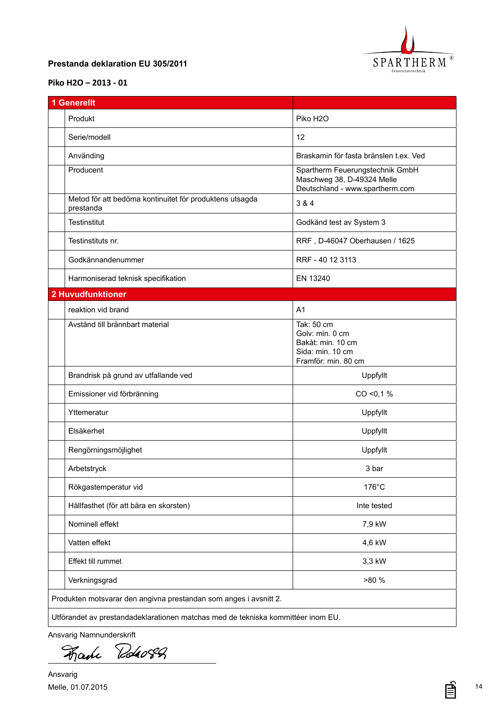

#### <span id="page-13-0"></span>**SE Prestanda deklaration EU 305/2011**

### **[Piko H2O](DBF_Typ) – 2013 - 01**

| <b>1 Generellt</b>                                                               |                                                                                                  |
|----------------------------------------------------------------------------------|--------------------------------------------------------------------------------------------------|
| Produkt                                                                          | Piko H <sub>2</sub> O                                                                            |
| Serie/modell                                                                     | 12                                                                                               |
| Använding                                                                        | Braskamin för fasta bränslen t.ex. Ved                                                           |
| Producent                                                                        | Spartherm Feuerungstechnik GmbH<br>Maschweg 38, D-49324 Melle<br>Deutschland - www.spartherm.com |
| Metod för att bedöma kontinuitet för produktens utsagda<br>prestanda             | 3 & 4                                                                                            |
| Testinstitut                                                                     | Godkänd test av System 3                                                                         |
| Testinstituts nr.                                                                | RRF, D-46047 Oberhausen / 1625                                                                   |
| Godkännandenummer                                                                | RRF - 40 12 3113                                                                                 |
| Harmoniserad teknisk specifikation                                               | EN 13240                                                                                         |
| <b>2 Huvudfunktioner</b>                                                         |                                                                                                  |
| reaktion vid brand                                                               | A <sub>1</sub>                                                                                   |
| Avstånd till brännbart material                                                  | Tak: 50 cm<br>Golv: min. 0 cm<br>Bakåt: min. 10 cm<br>Sida: min. 10 cm<br>Framför: min. 80 cm    |
| Brandrisk på grund av utfallande ved                                             | Uppfyllt                                                                                         |
| Emissioner vid förbränning                                                       | $CO < 0.1$ %                                                                                     |
| Yttemeratur                                                                      | Uppfyllt                                                                                         |
| Elsäkerhet                                                                       | Uppfyllt                                                                                         |
| Rengörningsmöjlighet                                                             | Uppfyllt                                                                                         |
| Arbetstryck                                                                      | 3 bar                                                                                            |
| Rökgastemperatur vid                                                             | 176°C                                                                                            |
| Hållfasthet (för att bära en skorsten)                                           | Inte tested                                                                                      |
| Nominell effekt                                                                  | 7,9 kW                                                                                           |
| Vatten effekt                                                                    | 4,6 kW                                                                                           |
| Effekt till rummet                                                               | 3,3 kW                                                                                           |
| Verkningsgrad                                                                    | >80 %                                                                                            |
| Produkten motsvarar den angivna prestandan som anges i avsnitt 2.                |                                                                                                  |
| Utförandet av prestandadeklarationen matchas med de tekniska kommittéer inom EU. |                                                                                                  |

Ansvarig Namnunderskrift

Roho82 Fake

Ansvarig Melle, 01.07.2015

亯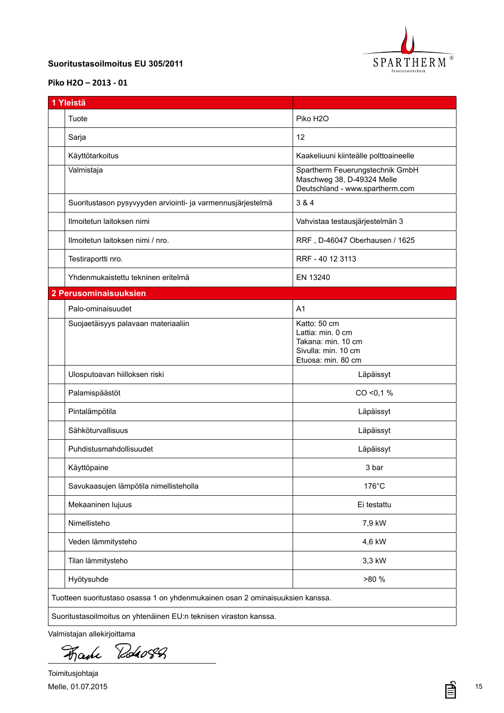

#### <span id="page-14-0"></span>**FI Suoritustasoilmoitus EU 305/2011**

#### **[Piko H2O](DBF_Typ) – 2013 - 01**

| 1 Yleistä                                                                     |                                                                                                      |
|-------------------------------------------------------------------------------|------------------------------------------------------------------------------------------------------|
| Tuote                                                                         | Piko H <sub>2</sub> O                                                                                |
| Sarja                                                                         | 12                                                                                                   |
| Käyttötarkoitus                                                               | Kaakeliuuni kiinteälle polttoaineelle                                                                |
| Valmistaja                                                                    | Spartherm Feuerungstechnik GmbH<br>Maschweg 38, D-49324 Melle<br>Deutschland - www.spartherm.com     |
| Suoritustason pysyvyyden arviointi- ja varmennusjärjestelmä                   | 3 & 4                                                                                                |
| Ilmoitetun laitoksen nimi                                                     | Vahvistaa testausjärjestelmän 3                                                                      |
| Ilmoitetun laitoksen nimi / nro.                                              | RRF, D-46047 Oberhausen / 1625                                                                       |
| Testiraportti nro.                                                            | RRF - 40 12 3113                                                                                     |
| Yhdenmukaistettu tekninen eritelmä                                            | EN 13240                                                                                             |
| 2 Perusominaisuuksien                                                         |                                                                                                      |
| Palo-ominaisuudet                                                             | A <sub>1</sub>                                                                                       |
| Suojaetäisyys palavaan materiaaliin                                           | Katto: 50 cm<br>Lattia: min. 0 cm<br>Takana: min. 10 cm<br>Sivulla: min. 10 cm<br>Etuosa: min. 80 cm |
| Ulosputoavan hiilloksen riski                                                 | Läpäissyt                                                                                            |
| Palamispäästöt                                                                | $CO < 0.1$ %                                                                                         |
| Pintalämpötila                                                                | Läpäissyt                                                                                            |
| Sähköturvallisuus                                                             | Läpäissyt                                                                                            |
| Puhdistusmahdollisuudet                                                       | Läpäissyt                                                                                            |
| Käyttöpaine                                                                   | 3 bar                                                                                                |
| Savukaasujen lämpötila nimellisteholla                                        | 176°C                                                                                                |
| Mekaaninen lujuus                                                             | Ei testattu                                                                                          |
| Nimellisteho                                                                  | 7,9 kW                                                                                               |
| Veden lämmitysteho                                                            | 4,6 kW                                                                                               |
| Tilan lämmitysteho                                                            | 3,3 kW                                                                                               |
| Hyötysuhde                                                                    | >80 %                                                                                                |
| Tuotteen suoritustaso osassa 1 on yhdenmukainen osan 2 ominaisuuksien kanssa. |                                                                                                      |
| Suoritustasoilmoitus on yhtenäinen EU:n teknisen viraston kanssa.             |                                                                                                      |

Valmistajan allekirjoittama

Roho82 Fake

Toimitusjohtaja Melle, 01.07.2015

亯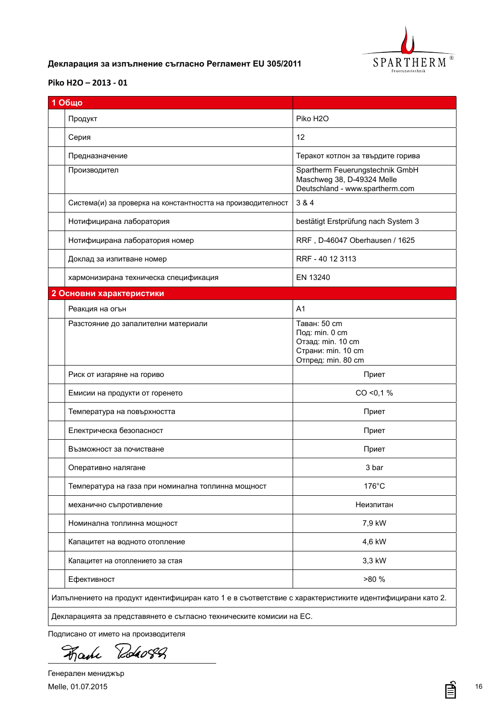

# <span id="page-15-0"></span>**BG Декларация за изпълнение съгласно Регламент EU 305/2011**

#### **[Piko H2O](DBF_Typ) – 2013 - 01**

| 1 Общо                                                                                                  |                                                                                                  |
|---------------------------------------------------------------------------------------------------------|--------------------------------------------------------------------------------------------------|
| Продукт                                                                                                 | Piko H <sub>2</sub> O                                                                            |
| Серия                                                                                                   | 12                                                                                               |
| Предназначение                                                                                          | Теракот котлон за твърдите горива                                                                |
| Производител                                                                                            | Spartherm Feuerungstechnik GmbH<br>Maschweg 38, D-49324 Melle<br>Deutschland - www.spartherm.com |
| Система(и) за проверка на константността на производителност                                            | 3 & 4                                                                                            |
| Нотифицирана лаборатория                                                                                | bestätigt Erstprüfung nach System 3                                                              |
| Нотифицирана лаборатория номер                                                                          | RRF, D-46047 Oberhausen / 1625                                                                   |
| Доклад за изпитване номер                                                                               | RRF - 40 12 3113                                                                                 |
| хармонизирана техническа спецификация                                                                   | EN 13240                                                                                         |
| 2 Основни характеристики                                                                                |                                                                                                  |
| Реакция на огън                                                                                         | A <sub>1</sub>                                                                                   |
| Разстояние до запалителни материали                                                                     | Таван: 50 cm<br>Под: min. 0 cm<br>Отзад: min. 10 cm<br>Страни: min. 10 cm<br>Отпред: min. 80 cm  |
| Риск от изгаряне на гориво                                                                              | Приет                                                                                            |
| Емисии на продукти от горенето                                                                          | CO < 0.1 %                                                                                       |
| Температура на повърхността                                                                             | Приет                                                                                            |
| Електрическа безопасност                                                                                | Приет                                                                                            |
| Възможност за почистване                                                                                | Приет                                                                                            |
| Оперативно налягане                                                                                     | 3 bar                                                                                            |
| Температура на газа при номинална топлинна мощност                                                      | $176^{\circ}$ C                                                                                  |
| механично съпротивление                                                                                 | Неизпитан                                                                                        |
| Номинална топлинна мощност                                                                              | 7,9 kW                                                                                           |
| Капацитет на водното отопление                                                                          | 4,6 kW                                                                                           |
| Капацитет на отоплението за стая                                                                        | 3,3 kW                                                                                           |
| Ефективност                                                                                             | >80 %                                                                                            |
| Изпълнението на продукт идентифициран като 1 е в съответствие с характеристиките идентифицирани като 2. |                                                                                                  |
| Декларацията за представянето е съгласно техническите комисии на ЕС.                                    |                                                                                                  |

Подписано от името на производителя

Roho82 Fake

Генерален мениджър Melle, 01.07.2015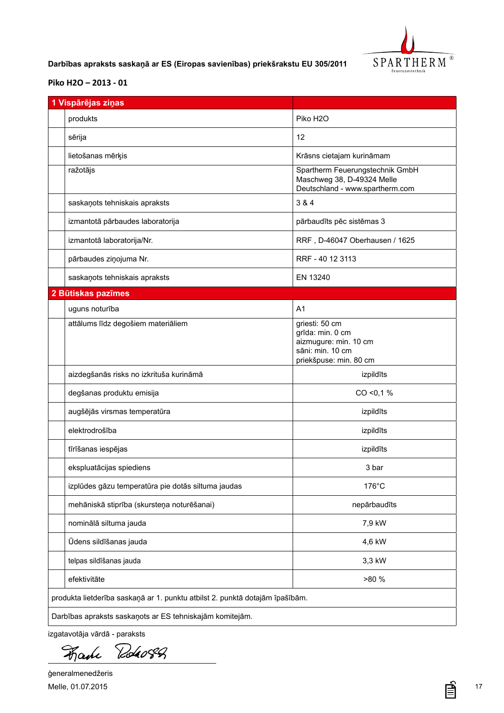

<span id="page-16-0"></span>**LV Darbības apraksts saskaņā ar ES (Eiropas savienības) priekšrakstu EU 305/2011**

#### **[Piko H2O](DBF_Typ) – 2013 - 01**

| 1 Vispārējas ziņas                                                           |                                                                                                           |
|------------------------------------------------------------------------------|-----------------------------------------------------------------------------------------------------------|
| produkts                                                                     | Piko H <sub>2</sub> O                                                                                     |
| sērija                                                                       | 12                                                                                                        |
| lietošanas mērķis                                                            | Krāsns cietajam kurināmam                                                                                 |
| ražotājs                                                                     | Spartherm Feuerungstechnik GmbH<br>Maschweg 38, D-49324 Melle<br>Deutschland - www.spartherm.com          |
| saskaņots tehniskais apraksts                                                | 3 & 4                                                                                                     |
| izmantotā pārbaudes laboratorija                                             | pārbaudīts pēc sistēmas 3                                                                                 |
| izmantotā laboratorija/Nr.                                                   | RRF, D-46047 Oberhausen / 1625                                                                            |
| pārbaudes ziņojuma Nr.                                                       | RRF - 40 12 3113                                                                                          |
| saskaņots tehniskais apraksts                                                | EN 13240                                                                                                  |
| 2 Būtiskas pazīmes                                                           |                                                                                                           |
| uguns noturība                                                               | A <sub>1</sub>                                                                                            |
| attālums līdz degošiem materiāliem                                           | griesti: 50 cm<br>grīda: min. 0 cm<br>aizmugure: min. 10 cm<br>sāni: min. 10 cm<br>priekšpuse: min. 80 cm |
| aizdegšanās risks no izkrituša kurināmā                                      | izpildīts                                                                                                 |
| degšanas produktu emisija                                                    | CO < 0.1 %                                                                                                |
| augšējās virsmas temperatūra                                                 | izpildīts                                                                                                 |
| elektrodrošība                                                               | izpildīts                                                                                                 |
| tīrīšanas iespējas                                                           | izpildīts                                                                                                 |
| ekspluatācijas spiediens                                                     | 3 bar                                                                                                     |
| izplūdes gāzu temperatūra pie dotās siltuma jaudas                           | $176^{\circ}$ C                                                                                           |
| mehāniskā stiprība (skursteņa noturēšanai)                                   | nepārbaudīts                                                                                              |
| nominālā siltuma jauda                                                       | 7,9 kW                                                                                                    |
| Ūdens sildīšanas jauda                                                       | 4,6 kW                                                                                                    |
| telpas sildīšanas jauda                                                      | 3,3 kW                                                                                                    |
| efektivitāte                                                                 | >80 %                                                                                                     |
| produkta lietderība saskaņā ar 1. punktu atbilst 2. punktā dotajām īpašībām. |                                                                                                           |
| Darbības apraksts saskaņots ar ES tehniskajām komitejām.                     |                                                                                                           |

izgatavotāja vārdā - paraksts

Roho82 Fake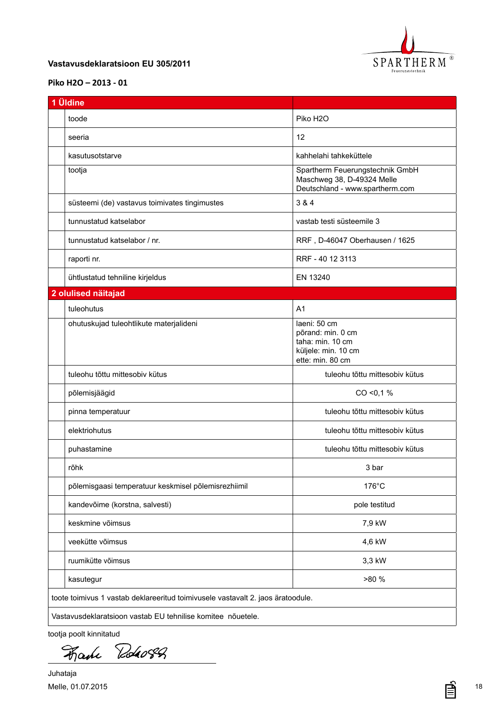

#### <span id="page-17-0"></span>**EE Vastavusdeklaratsioon EU 305/2011**

### **[Piko H2O](DBF_Typ) – 2013 - 01**

| 1 Üldine                                                                        |                                                                                                  |
|---------------------------------------------------------------------------------|--------------------------------------------------------------------------------------------------|
| toode                                                                           | Piko H <sub>2</sub> O                                                                            |
| seeria                                                                          | 12                                                                                               |
| kasutusotstarve                                                                 | kahhelahi tahkeküttele                                                                           |
| tootja                                                                          | Spartherm Feuerungstechnik GmbH<br>Maschweg 38, D-49324 Melle<br>Deutschland - www.spartherm.com |
| süsteemi (de) vastavus toimivates tingimustes                                   | 3 & 4                                                                                            |
| tunnustatud katselabor                                                          | vastab testi süsteemile 3                                                                        |
| tunnustatud katselabor / nr.                                                    | RRF, D-46047 Oberhausen / 1625                                                                   |
| raporti nr.                                                                     | RRF - 40 12 3113                                                                                 |
| ühtlustatud tehniline kirjeldus                                                 | EN 13240                                                                                         |
| 2 olulised näitajad                                                             |                                                                                                  |
| tuleohutus                                                                      | A <sub>1</sub>                                                                                   |
| ohutuskujad tuleohtlikute materjalideni                                         | laeni: 50 cm<br>põrand: min. 0 cm<br>taha: min. 10 cm<br>küljele: min. 10 cm<br>ette: min. 80 cm |
| tuleohu tõttu mittesobiv kütus                                                  | tuleohu tõttu mittesobiv kütus                                                                   |
| põlemisjäägid                                                                   | $CO < 0.1$ %                                                                                     |
| pinna temperatuur                                                               | tuleohu tõttu mittesobiv kütus                                                                   |
| elektriohutus                                                                   | tuleohu tõttu mittesobiv kütus                                                                   |
| puhastamine                                                                     | tuleohu tõttu mittesobiv kütus                                                                   |
| rõhk                                                                            | 3 bar                                                                                            |
| põlemisgaasi temperatuur keskmisel põlemisrezhiimil                             | 176°C                                                                                            |
| kandevõime (korstna, salvesti)                                                  | pole testitud                                                                                    |
| keskmine võimsus                                                                | 7,9 kW                                                                                           |
| veekütte võimsus                                                                | 4,6 kW                                                                                           |
| ruumikütte võimsus                                                              | 3,3 kW                                                                                           |
| kasutegur                                                                       | >80 %                                                                                            |
| toote toimivus 1 vastab deklareeritud toimivusele vastavalt 2. jaos äratoodule. |                                                                                                  |
| Vastavusdeklaratsioon vastab EU tehnilise komitee nõuetele.                     |                                                                                                  |

tootja poolt kinnitatud

Faile Robert

Juhataja Melle, 01.07.2015

亯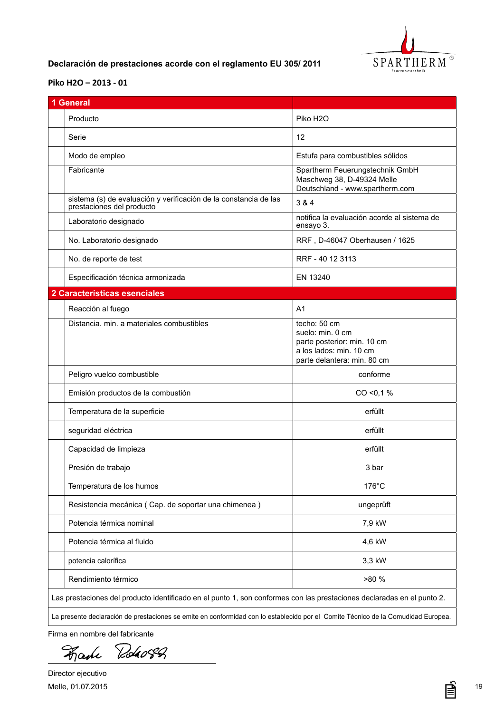

## <span id="page-18-0"></span>**ES Declaración de prestaciones acorde con el reglamento EU 305/ 2011**

#### **[Piko H2O](DBF_Typ) – 2013 - 01**

| <b>General</b>                                                                                |                                                                                                                           |
|-----------------------------------------------------------------------------------------------|---------------------------------------------------------------------------------------------------------------------------|
| Producto                                                                                      | Piko H <sub>2</sub> O                                                                                                     |
| Serie                                                                                         | 12                                                                                                                        |
| Modo de empleo                                                                                | Estufa para combustibles sólidos                                                                                          |
| Fabricante                                                                                    | Spartherm Feuerungstechnik GmbH<br>Maschweg 38, D-49324 Melle<br>Deutschland - www.spartherm.com                          |
| sistema (s) de evaluación y verificación de la constancia de las<br>prestaciones del producto | 3 & 4                                                                                                                     |
| Laboratorio designado                                                                         | notifica la evaluación acorde al sistema de<br>ensayo 3.                                                                  |
| No. Laboratorio designado                                                                     | RRF, D-46047 Oberhausen / 1625                                                                                            |
| No. de reporte de test                                                                        | RRF - 40 12 3113                                                                                                          |
| Especificación técnica armonizada                                                             | EN 13240                                                                                                                  |
| 2 Características esenciales                                                                  |                                                                                                                           |
| Reacción al fuego                                                                             | A <sub>1</sub>                                                                                                            |
| Distancia, min. a materiales combustibles                                                     | techo: 50 cm<br>suelo: min. 0 cm<br>parte posterior: min. 10 cm<br>a los lados: min. 10 cm<br>parte delantera: min. 80 cm |
| Peligro vuelco combustible                                                                    | conforme                                                                                                                  |
| Emisión productos de la combustión                                                            | CO < 0.1 %                                                                                                                |
| Temperatura de la superficie                                                                  | erfüllt                                                                                                                   |
| seguridad eléctrica                                                                           | erfüllt                                                                                                                   |
| Capacidad de limpieza                                                                         | erfüllt                                                                                                                   |
| Presión de trabajo                                                                            | 3 bar                                                                                                                     |
| Temperatura de los humos                                                                      | 176°C                                                                                                                     |
| Resistencia mecánica (Cap. de soportar una chimenea)                                          | ungeprüft                                                                                                                 |
| Potencia térmica nominal                                                                      | 7,9 kW                                                                                                                    |
| Potencia térmica al fluido                                                                    | 4,6 kW                                                                                                                    |
| potencia calorífica                                                                           | 3,3 kW                                                                                                                    |
| Rendimiento térmico                                                                           | >80 %                                                                                                                     |
|                                                                                               |                                                                                                                           |

Firma en nombre del fabricante

Roho8Q Fake

Director ejecutivo Melle, 01.07.2015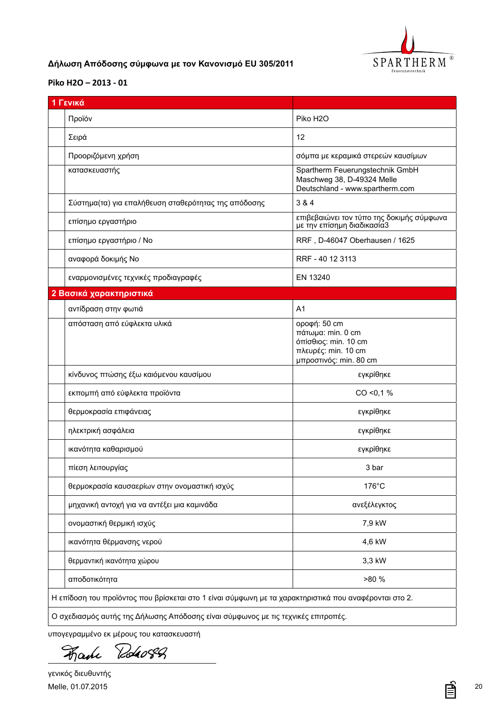

## <span id="page-19-0"></span>**GR Δήλωση Απόδοσης σύμφωνα με τον Κανονισμό EU 305/2011**

#### **[Piko H2O](DBF_Typ) – 2013 - 01**

| 1 Γενικά                                                                                              |                                                                                                            |
|-------------------------------------------------------------------------------------------------------|------------------------------------------------------------------------------------------------------------|
| Προϊόν                                                                                                | Piko H <sub>2</sub> O                                                                                      |
| Σειρά                                                                                                 | 12                                                                                                         |
| Προοριζόμενη χρήση                                                                                    | σόμπα με κεραμικά στερεών καυσίμων                                                                         |
| κατασκευαστής                                                                                         | Spartherm Feuerungstechnik GmbH<br>Maschweg 38, D-49324 Melle<br>Deutschland - www.spartherm.com           |
| Σύστημα(τα) για επαλήθευση σταθερότητας της απόδοσης                                                  | 3 & 4                                                                                                      |
| επίσημο εργαστήριο                                                                                    | επιβεβαιώνει τον τύπο της δοκιμής σύμφωνα<br>με την επίσημη διαδικασία3                                    |
| επίσημο εργαστήριο / Νο                                                                               | RRF, D-46047 Oberhausen / 1625                                                                             |
| αναφορά δοκιμής Νο                                                                                    | RRF - 40 12 3113                                                                                           |
| εναρμονισμένες τεχνικές προδιαγραφές                                                                  | EN 13240                                                                                                   |
| 2 Βασικά χαρακτηριστικά                                                                               |                                                                                                            |
| αντίδραση στην φωτιά                                                                                  | A <sub>1</sub>                                                                                             |
| απόσταση από εύφλεκτα υλικά                                                                           | οροφή: 50 cm<br>πάτωμα: min. 0 cm<br>όπίσθιος: min. 10 cm<br>πλευρές: min. 10 cm<br>μπροστινός: min. 80 cm |
| κίνδυνος πτώσης έξω καιόμενου καυσίμου                                                                | εγκρίθηκε                                                                                                  |
| εκπομπή από εύφλεκτα προϊόντα                                                                         | CO < 0.1 %                                                                                                 |
| θερμοκρασία επιφάνειας                                                                                | εγκρίθηκε                                                                                                  |
| ηλεκτρική ασφάλεια                                                                                    | εγκρίθηκε                                                                                                  |
| ικανότητα καθαρισμού                                                                                  | εγκρίθηκε                                                                                                  |
| πίεση λειτουργίας                                                                                     | 3 bar                                                                                                      |
| θερμοκρασία καυσαερίων στην ονομαστική ισχύς                                                          | $176^{\circ}$ C                                                                                            |
| μηχανική αντοχή για να αντέξει μια καμινάδα                                                           | ανεξέλεγκτος                                                                                               |
| ονομαστική θερμική ισχύς                                                                              | 7,9 kW                                                                                                     |
| ικανότητα θέρμανσης νερού                                                                             | 4,6 kW                                                                                                     |
| θερμαντική ικανότητα χώρου                                                                            | 3,3 kW                                                                                                     |
| αποδοτικότητα                                                                                         | >80 %                                                                                                      |
| Η επίδοση του προϊόντος που βρίσκεται στο 1 είναι σύμφωνη με τα χαρακτηριστικά που αναφέρονται στο 2. |                                                                                                            |
| Ο σχεδιασμός αυτής της Δήλωσης Απόδοσης είναι σύμφωνος με τις τεχνικές επιτροπές.                     |                                                                                                            |

υπογεγραμμένο εκ μέρους του κατασκευαστή

Roho8Q Fake

≣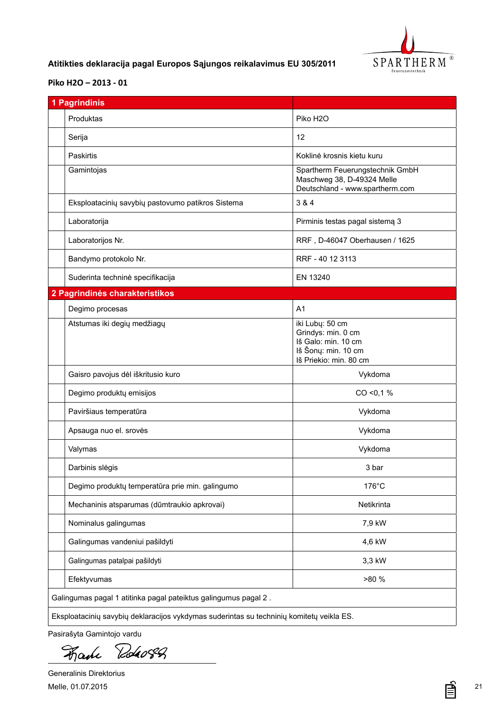

## <span id="page-20-0"></span>**LT Atitikties deklaracija pagal Europos Sąjungos reikalavimus EU 305/2011**

#### **[Piko H2O](DBF_Typ) – 2013 - 01**

| Produktas<br>Piko H <sub>2</sub> O<br>12<br>Serija<br>Paskirtis<br>Gamintojas<br>3 & 4<br>Eksploatacinių savybių pastovumo patikros Sistema<br>Laboratorija<br>Laboratorijos Nr.<br>Bandymo protokolo Nr.<br>Suderinta techninė specifikacija<br>EN 13240<br>2 Pagrindinės charakteristikos<br>Degimo procesas<br>A <sub>1</sub><br>Atstumas iki degių medžiagų<br>Gaisro pavojus dėl iškritusio kuro<br>Degimo produktų emisijos<br>Paviršiaus temperatūra<br>Apsauga nuo el. srovés<br>Valymas<br>Darbinis slėgis<br>Degimo produktų temperatūra prie min. galingumo | Koklinė krosnis kietu kuru<br>Spartherm Feuerungstechnik GmbH<br>Maschweg 38, D-49324 Melle<br>Deutschland - www.spartherm.com<br>Pirminis testas pagal sistemą 3<br>RRF, D-46047 Oberhausen / 1625<br>RRF - 40 12 3113<br>iki Lubų: 50 cm<br>Grindys: min. 0 cm<br>Iš Galo: min. 10 cm |
|------------------------------------------------------------------------------------------------------------------------------------------------------------------------------------------------------------------------------------------------------------------------------------------------------------------------------------------------------------------------------------------------------------------------------------------------------------------------------------------------------------------------------------------------------------------------|-----------------------------------------------------------------------------------------------------------------------------------------------------------------------------------------------------------------------------------------------------------------------------------------|
|                                                                                                                                                                                                                                                                                                                                                                                                                                                                                                                                                                        |                                                                                                                                                                                                                                                                                         |
|                                                                                                                                                                                                                                                                                                                                                                                                                                                                                                                                                                        |                                                                                                                                                                                                                                                                                         |
|                                                                                                                                                                                                                                                                                                                                                                                                                                                                                                                                                                        |                                                                                                                                                                                                                                                                                         |
|                                                                                                                                                                                                                                                                                                                                                                                                                                                                                                                                                                        |                                                                                                                                                                                                                                                                                         |
|                                                                                                                                                                                                                                                                                                                                                                                                                                                                                                                                                                        |                                                                                                                                                                                                                                                                                         |
|                                                                                                                                                                                                                                                                                                                                                                                                                                                                                                                                                                        |                                                                                                                                                                                                                                                                                         |
|                                                                                                                                                                                                                                                                                                                                                                                                                                                                                                                                                                        |                                                                                                                                                                                                                                                                                         |
|                                                                                                                                                                                                                                                                                                                                                                                                                                                                                                                                                                        |                                                                                                                                                                                                                                                                                         |
|                                                                                                                                                                                                                                                                                                                                                                                                                                                                                                                                                                        |                                                                                                                                                                                                                                                                                         |
|                                                                                                                                                                                                                                                                                                                                                                                                                                                                                                                                                                        |                                                                                                                                                                                                                                                                                         |
|                                                                                                                                                                                                                                                                                                                                                                                                                                                                                                                                                                        |                                                                                                                                                                                                                                                                                         |
|                                                                                                                                                                                                                                                                                                                                                                                                                                                                                                                                                                        | Iš Šonų: min. 10 cm<br>Iš Priekio: min. 80 cm                                                                                                                                                                                                                                           |
|                                                                                                                                                                                                                                                                                                                                                                                                                                                                                                                                                                        | Vykdoma                                                                                                                                                                                                                                                                                 |
|                                                                                                                                                                                                                                                                                                                                                                                                                                                                                                                                                                        | CO < 0.1 %                                                                                                                                                                                                                                                                              |
|                                                                                                                                                                                                                                                                                                                                                                                                                                                                                                                                                                        | Vykdoma                                                                                                                                                                                                                                                                                 |
|                                                                                                                                                                                                                                                                                                                                                                                                                                                                                                                                                                        | Vykdoma                                                                                                                                                                                                                                                                                 |
|                                                                                                                                                                                                                                                                                                                                                                                                                                                                                                                                                                        | Vykdoma                                                                                                                                                                                                                                                                                 |
|                                                                                                                                                                                                                                                                                                                                                                                                                                                                                                                                                                        | 3 bar                                                                                                                                                                                                                                                                                   |
|                                                                                                                                                                                                                                                                                                                                                                                                                                                                                                                                                                        | 176°C                                                                                                                                                                                                                                                                                   |
| Mechaninis atsparumas (dūmtraukio apkrovai)                                                                                                                                                                                                                                                                                                                                                                                                                                                                                                                            | Netikrinta                                                                                                                                                                                                                                                                              |
| Nominalus galingumas                                                                                                                                                                                                                                                                                                                                                                                                                                                                                                                                                   | 7,9 kW                                                                                                                                                                                                                                                                                  |
| Galingumas vandeniui pašildyti                                                                                                                                                                                                                                                                                                                                                                                                                                                                                                                                         |                                                                                                                                                                                                                                                                                         |
| Galingumas patalpai pašildyti                                                                                                                                                                                                                                                                                                                                                                                                                                                                                                                                          | 4,6 kW                                                                                                                                                                                                                                                                                  |
| Efektyvumas                                                                                                                                                                                                                                                                                                                                                                                                                                                                                                                                                            | 3,3 kW                                                                                                                                                                                                                                                                                  |
| Galingumas pagal 1 atitinka pagal pateiktus galingumus pagal 2.                                                                                                                                                                                                                                                                                                                                                                                                                                                                                                        | >80 %                                                                                                                                                                                                                                                                                   |

Pasirašyta Gamintojo vardu

Roho82 Fake

Generalinis Direktorius Melle, 01.07.2015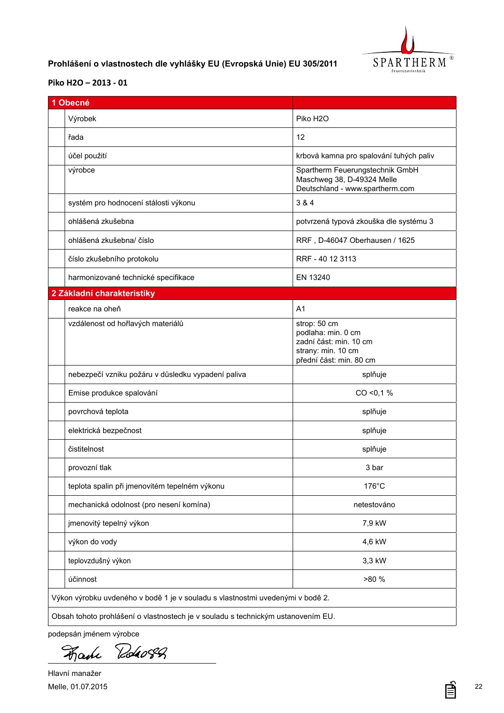

## <span id="page-21-0"></span>**CZ Prohlášení o vlastnostech dle vyhlášky EU (Evropská Unie) EU 305/2011**

### **[Piko H2O](DBF_Typ) – 2013 - 01**

| 1 Obecné                                                                         |                                                                                                               |
|----------------------------------------------------------------------------------|---------------------------------------------------------------------------------------------------------------|
| Výrobek                                                                          | Piko H <sub>2</sub> O                                                                                         |
| řada                                                                             | 12                                                                                                            |
| účel použití                                                                     | krbová kamna pro spalování tuhých paliv                                                                       |
| výrobce                                                                          | Spartherm Feuerungstechnik GmbH<br>Maschweg 38, D-49324 Melle<br>Deutschland - www.spartherm.com              |
| systém pro hodnocení stálosti výkonu                                             | 3 & 4                                                                                                         |
| ohlášená zkušebna                                                                | potvrzená typová zkouška dle systému 3                                                                        |
| ohlášená zkušebna/ číslo                                                         | RRF, D-46047 Oberhausen / 1625                                                                                |
| číslo zkušebního protokolu                                                       | RRF - 40 12 3113                                                                                              |
| harmonizované technické specifikace                                              | EN 13240                                                                                                      |
| 2 Základní charakteristiky                                                       |                                                                                                               |
| reakce na oheň                                                                   | A <sub>1</sub>                                                                                                |
| vzdálenost od hořlavých materiálů                                                | strop: 50 cm<br>podlaha: min. 0 cm<br>zadní část: min. 10 cm<br>strany: min. 10 cm<br>přední část: min. 80 cm |
| nebezpečí vzniku požáru v důsledku vypadení paliva                               | splňuje                                                                                                       |
| Emise produkce spalování                                                         | CO < 0.1 %                                                                                                    |
| povrchová teplota                                                                | splňuje                                                                                                       |
| elektrická bezpečnost                                                            | splňuje                                                                                                       |
| čistitelnost                                                                     | splňuje                                                                                                       |
| provozní tlak                                                                    | 3 bar                                                                                                         |
| teplota spalin při jmenovitém tepelném výkonu                                    | 176°C                                                                                                         |
| mechanická odolnost (pro nesení komína)                                          | netestováno                                                                                                   |
| jmenovitý tepelný výkon                                                          | 7,9 kW                                                                                                        |
| výkon do vody                                                                    | 4,6 kW                                                                                                        |
| teplovzdušný výkon                                                               | 3,3 kW                                                                                                        |
| účinnost                                                                         | >80 %                                                                                                         |
| Výkon výrobku uvdeného v bodě 1 je v souladu s vlastnostmi uvedenými v bodě 2.   |                                                                                                               |
| Obsah tohoto prohlášení o vlastnostech je v souladu s technickým ustanovením EU. |                                                                                                               |

podepsán jménem výrobce

Roho82 Fake

Hlavní manažer Melle, 01.07.2015